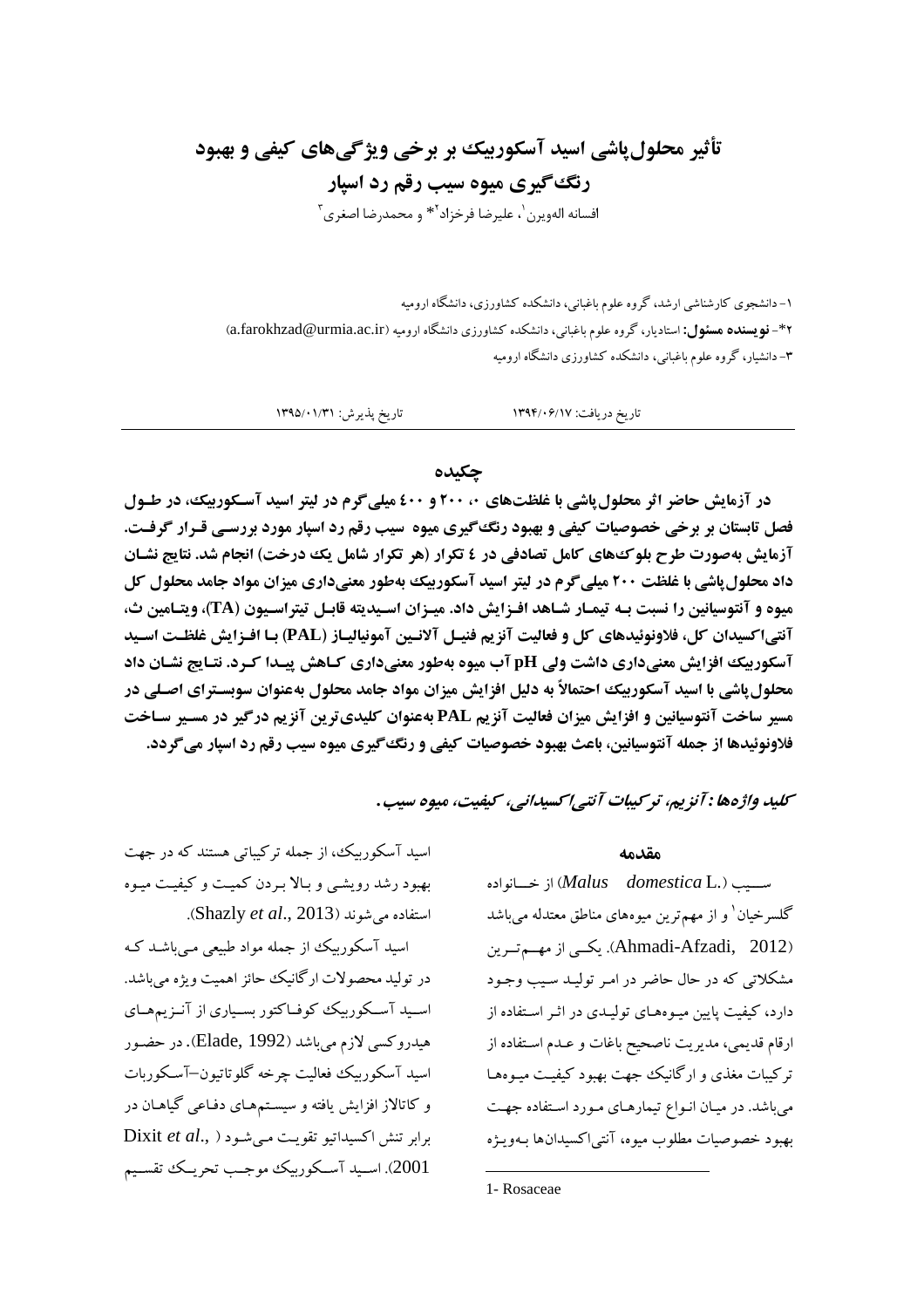# تأثیر محلول یاشی اسید آسکوربیک بر برخی ویژگیهای کیفی و بهبود رنگ گیری میوه سیب رقم رد اسپار

افسانه الهويرن`، عليرضا فرخزاد<sup>٢</sup>\* و محمدرضا اصغرى<sup>٣</sup>

۱– دانشجوی کارشناشی ارشد، گروه علوم باغبانی، دانشکده کشاورزی، دانشگاه ارومیه ۴\*- **نویسنده مسئول:** استادیار، گروه علوم باغبانی، دانشکده کشاورزی دانشگاه ارومیه (a.farokhzad@urmia.ac.ir) ۳- دانشیار، گروه علوم باغبانی، دانشکده کشاورزی دانشگاه ارومیه

تاریخ پذیرش: ۱۳۹۵/۰۱/۳۱ تاريخ دريافت: ١٣٩۴/٠۶/١٧

#### جكىدە

در آزمایش حاضر اثر محلول پاشی با غلظتهای ۲۰۰ و ٤٠٠ میلی گرم در لیتر اسید آسکوربیک، در طـول فصل تابستان بر برخی خصوصیات کیفی و بهبود رنگ گیری میوه آسیب رقم رد اسپار مورد بررسی قـرار گرفـت. آزمایش بهصورت طرح بلو ک&ای کامل تصادفی در ٤ تکرار (هر تکرار شامل یک درخت) انجام شد. نتایج نشـان داد محلول پاشی با غلظت ۲۰۰ میلی گرم در لیتر اسید آسکوربیک بهطور معنیداری میزان مواد جامد محلول کل میوه و آنتوسیانین را نسبت بـه تیمـار شـاهد افـزایش داد. میـزان اسـیدیته قابـل تیتراسـیون (TA)، ویتـامین ث، آنتی|کسیدان کل، فلاونوئیدهای کل و فعالیت آنزیم فنیـل آلانـین آمونیالیـاز (PAL) بـا افـزایش غلظـت اسـید آسکوربیک افزایش معنیداری داشت ولی pH آب میوه بهطور معنیداری کـاهش پیـدا کـرد. نتـایج نشـان داد محلول یاشی با اسید آسکوربیک احتمالاً به دلیل افزایش میزان مواد جامد محلول بهعنوان سوبسـترای اصـلی در مسیر ساخت آنتوسیانین و افزایش میزان فعالیت آنزیم PAL بهعنوان کلیدیترین آنزیم درگیر در مسیر سـاخت فلاونوئیدها از جمله آنتوسیانین، باعث بهبود خصوصیات کیفی و رنگ گیری میوه سیب رقم رد اسیار می گردد.

سكيبد واژهها : آنزيم، ترسيبات آنتے اسسيدانے ، سيفيت، ميوه سيب .

مقدمه

ســيب (Malus domestica L.) از خــانواده گلسرخیان ٰ و از مهمترین میوههای مناطق معتدله میباشد (Ahmadi-Afzadi, 2012). یکسی از مهسم تیرین مشکلاتی که در حال حاضر در امـر تولیـد سـیب وجـود دارد، کبفیت پایین میوههای تولیـدی در اثـر اسـتفاده از ارقام قديمي، مديريت ناصحيح باغات و عـدم اسـتفاده از ترکیبات مغذی و ارگانیک جهت بهبود کیفیت میـوههـا میباشد. در میان انواع تیمارهای مورد استفاده جهت بهبو د خصوصيات مطلوب ميوه، آنتي اکسيدانها بـهويـژه

اسید آسکوربیک، از جمله ترکیباتی هستند که در جهت بهبود رشد رویشبی و بالا بردن کمیت و کیفیت میوه استفاده می شوند (Shazly et al., 2013).

اسید آسکوربیک از جمله مواد طبیعی مبی باشـد کـه در توليد محصولات ارگانيک حائز اهميت ويژه مي باشد. اسـید آسـکوربیک کوفـاکتور بسـیاری از آنـزیمهـای هیدروکسی لازم میباشد (Elade, 1992). در حضور اسيد آسكوربيك فعاليت چرخه گلوتاتيون–آسكوربات و کاتالاز افزایش یافته و سیسـتمهـای دفـاعی گیاهـان در Dixit et al., ) بوابر تنش اكسيداتيو تقويت مي شود 2001). اسسبد آسکوریک موجب تحریک تقسیم

<sup>1-</sup> Rosaceae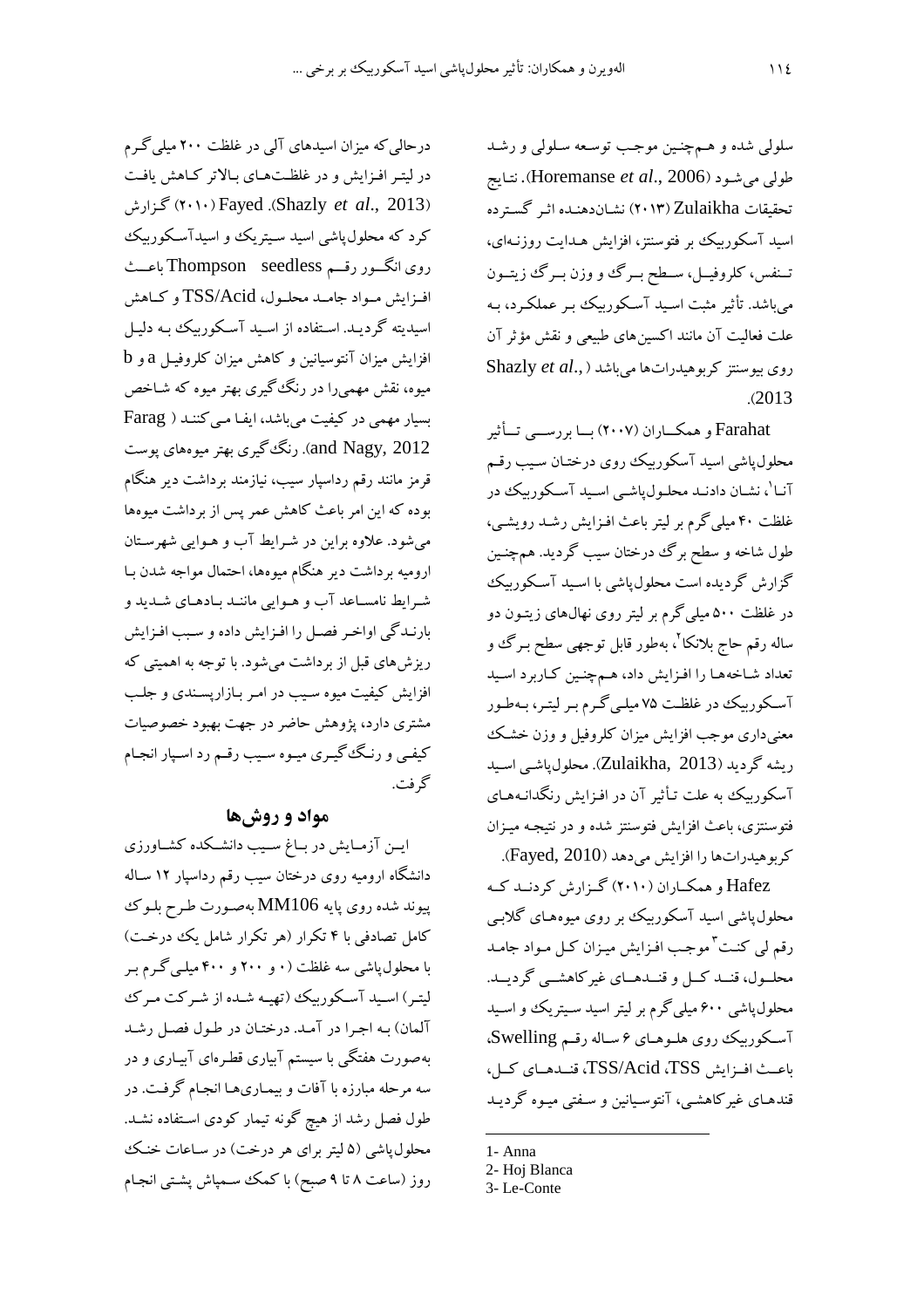سلولي شده و همچنين موجب توسعه سلولي و رشد نتايج (Horemanse et al., 2006). نتايج تحقيقات Zulaikha (٢٠١٣) نشاندهنده اثر گسترده اسید آسکوربیک بر فتوسنتز، افزایش هـدایت روزنـهای، تـنفس، کلروفيــل، ســطح بــرگ ووزن بــرگ زيتــون میباشد. تأثیر مثبت اسـید آسـکوربیک بـر عملکـرد، بـه علت فعالیت آن مانند اکسینهای طبیعی و نقش مؤثر آن Shazly et al., اروی بیوسنتز کربو هیدراتها می باشد  $(2013)$ 

Farahat و همکـــاران (۲۰۰۷) بـــا بررســـي تـــأثير محلول پاشی اسید آسکوربیک روی درختـان سـیب رقـم -<br>آنا<sup>۱</sup>، نشـان دادنـد محلـولپاشـي اسـيد آسـكوربيكـ در غلظت ۴۰ میلی گرم بر لیتر باعث افـزایش رشـد رویشـی، طول شاخه و سطح برگ درختان سیب گردید. همچنـین گزارش گردیده است محلول پاشی با اسـید آسـکوربیک در غلظت ۵۰۰ میلی گرم بر لیتر روی نهالهای زیتـون دو ساله رقم حاج بلانکا <sup>۲</sup>، بهطور قابل توجهي سطح بـرگ و تعداد شاخهها را افزايش داد، هـمچنـين كـاربرد اسـيد آسکوربیک در غلظت ۷۵ میلـیگرم بـر لیتـر، بـهطـور معنیداری موجب افزایش میزان کلروفیل و وزن خشک ریشه گردید (Zulaikha, 2013). محلول یاشبی اسـید آسکورییک به علت تـأثیر آن در افـزایش رنگدانـههـای .<br>فتوسنتزی، باعث افزایش فتوسنتز شده و در نتیجـه میـزان كربوهيدراتها را افزايش مى دهد (Fayed, 2010).

.<br>Hafez و همکــاران (۲۰۱۰) گــزارش کردنــد کــه محلول یاشی اسید آسکوربیک بر روی میوههای گلاببی رقم لی کنت <sup>۳</sup> موجب افزایش میزان کـل مـواد جامـد محلــول، قنــد كــل و قنــدهــاي غيركاهشــي گرديــد. محلول پاشی ۶۰۰ میلی گرم بر لیتر اسید سـیتریک و اسـید آسكوربيك روى هلوهاي ۶ ساله رقم Swelling، باعث افسزايش TSS/Acid ،TSS، قنىدهـاى كىل، .<br>قندهـای غیرکاهشـی، آنتوسـیانین و سـفتی میـوه گردیـد

- 1- Anna
- 2- Hoj Blanca
- 3- Le-Conte

درحالی که میزان اسیدهای آلی در غلظت ۲۰۰ میلی گـرم در لیتـر افـزایش و در غلظـتهـای بـالاتر کـاهش یافـت (۲۰۱۰) Fayed (Shazly et al., 2013) گزارش کرد که محلول پاشی اسید سیتریک و اسیدآسکوربیک روی انگرو رقسم Thompson seedless باعث افسزایش مسواد جامسد محلسول، TSS/Acid و کساهش اسیدیته گردیـد. اسـتفاده از اسـید آسـکوربیک بـه دلیـل افزایش میزان آنتوسیانین و کاهش میزان کلروفیـل a و b میوه، نقش مهمیرا در رنگ گیری بهتر میوه که شـاخص بسیار مهمی در کیفیت می باشد، ایف امی کننـد ( Farag and Nagy, 2012). رنگ گیری بھتر میوہھای یوست قرمز مانند رقم رداسپار سیب، نیازمند برداشت دیر هنگام بوده که این امر باعث کاهش عمر پس از برداشت میوهها میشود. علاوه براین در شرایط آب و هـوایی شهرسـتان ارومیه برداشت دیر هنگام میوهها، احتمال مواجه شدن بـا شرایط نامسـاعد آب و هـوایی ماننـد بـادهـای شـدید و بارنـدگی اواخـر فصـل را افـزایش داده و سـبب افـزایش ریزشهای قبل از برداشت میشود. با توجه به اهمیتی که افزایش کیفیت میوه سـیب در امـر بـازارپســندی و جلـب مشتری دارد، پژوهش حاضر در جهت بهبود خصوصیات کیفی و رنگ گیری میوه سیب رقم رد اسپار انجام گر فت.

## مواد و روش ها

ایــن آزمــایش در بــاغ ســیب دانشــکده کشــاورزی دانشگاه ارومیه روی درختان سیب رقم رداسپار ۱۲ سـاله پیوند شده روی پایه MM106 بهصورت طرح بلوک کامل تصادفی با ۴ تکرار (هر تکرار شامل یک درخت) با محلول پاشی سه غلظت (۰ و ۲۰۰ و ۴۰۰ میلـی گـرم بـر لیتـر) اسـید آسـکوربیک (تهیـه شـده از شـرکت مـرک آلمان) به اجرا در آمد. درختان در طول فصل رشد بهصورت هفتگی با سیستم آبیاری قطرهای آبیـاری و در سه مرحله مبارزه با آفات و بیمـاریهـا انجـام گرفـت. در طول فصل رشد از هیچ گونه تیمار کودی استفاده نشـد. محلول پاشی (۵ لیتر برای هر درخت) در ساعات خنک روز (ساعت ۸ تا ۹ صبح) با کمک سمپاش پشتبی انجـام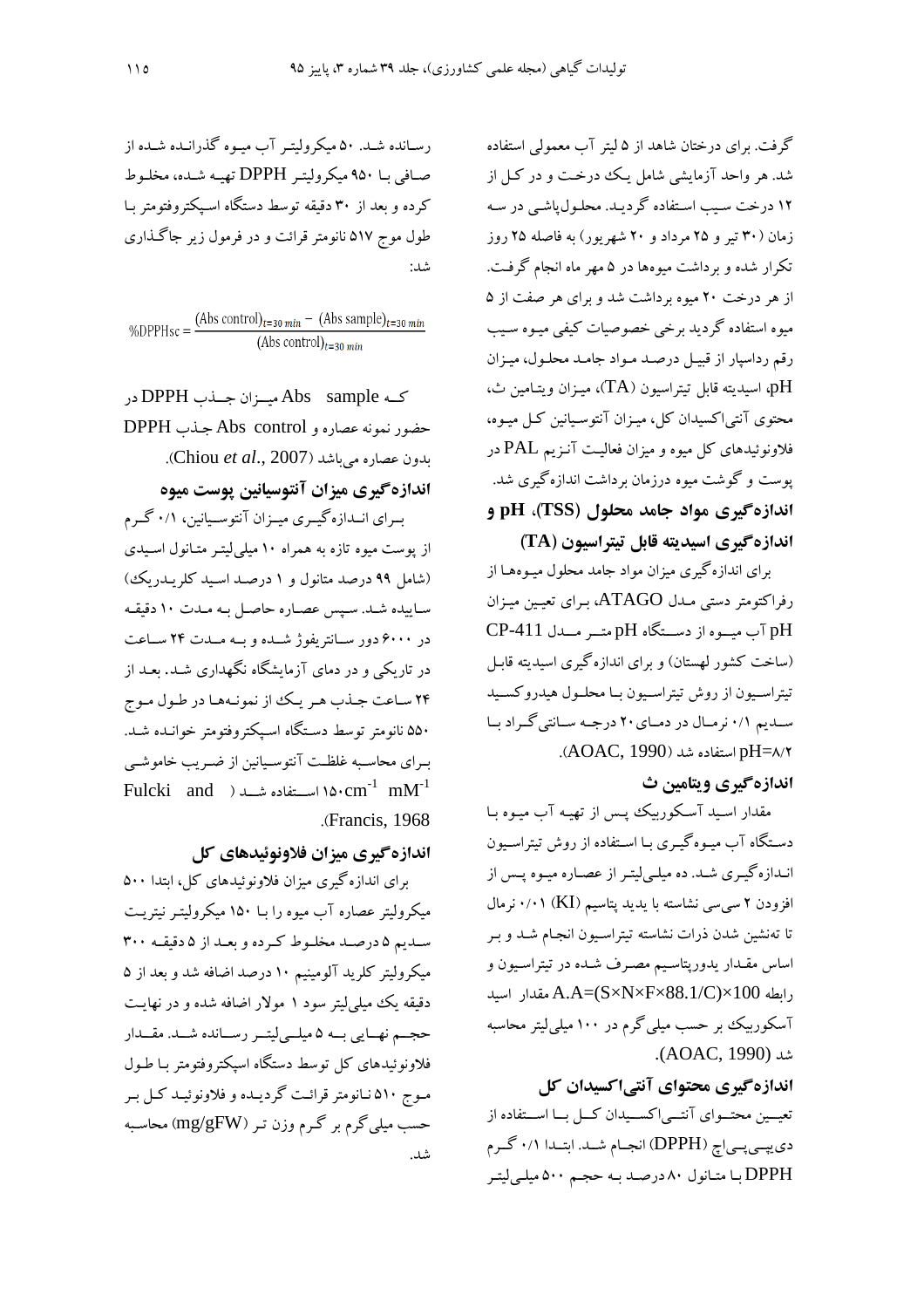گرفت. برای درختان شاهد از ۵ لیتر آب معمولی استفاده شد. هر واحد آزمایشی شامل یک درخت و در کـل از ۱۲ درخت سیب استفاده گردید. محلول یاشی در سه زمان (۳۰ تیر و ۲۵ مرداد و ۲۰ شهریور) به فاصله ۲۵ روز تکرار شده و برداشت میوهها در ۵ مهر ماه انجام گرفت. از هر درخت ۲۰ میوه برداشت شد و برای هر صفت از ۵ میوه استفاده گردید برخی خصوصیات کیفی میـوه سـیب رقم رداسیار از قبیـل درصـد مـواد جامـد محلـول، میـزان pH، اسيديته قابل تيتراسيون (TA)، ميـزان ويتـامين ث، محتوی آنتی|کسیدان کل، میـزان آنتوسـیانین کـل میـوه، .<br>فلاونوئیدهای کل میوه و میزان فعالیت آنـزیـم PAL در پوست و گوشت میوه درزمان برداشت اندازهگیری شد. اندازهگیری مواد جامد محلول (TSS)، pH و اندازهگیری اسیدیته قابل تیتراسیون (TA)

برای اندازهگیری میزان مواد جامد محلول میـوههـا از رفراکتومتر دستی مـدل ATAGO، بـرای تعیـین میـزان pH آب میسوه از دستگاه pH متسر مسدل CP-411 (ساخت کشور لهستان) و برای اندازهگیری اسیدیته قابـل تيتراسـيون از روش تيتراسـيون بــا محلــول هيدروكســيد سـديم ۰/۱ نرمـال در دمـاي ۲۰ درجـه سـانتي گـراد بـا pH=۸/۲ استفاده شد (AOAC, 1990).

اندازه گیری ویتامین ث

مقدار اسـید آسـکوربیک پـس از تھیـه آب میـوه بـا دستگاه آب میـوهگیـری بـا اسـتفاده از روش تیتراسـیون انـدازهگیـری شـد. ده میلـیلیتـر از عصـاره میـوه پـس از افزودن ۲ سبی سی نشاسته با یدید پتاسیم (KI) ۰/۰۱ نرمال تا تهنشین شدن ذرات نشاسته تیتراسـیون انجـام شـد و بـر اساس مقــدار يدورپتاسـيم مصـرف شــده در تيتراسـيون و  $A.A=(S\times N\times F\times 88.1/C)\times 100$  مقدار اسيد آسکوربیک بر حسب میلی گرم در ۱۰۰ میلی لیتر محاسبه شد (AOAC, 1990).

اندازهگیری محتوای آنتی اکسیدان کل

تعیــین محتــوای آنتــیاکســیدان کــل بــا اســتفاده از دي پي<sub>جا</sub>پ (DPPH) انجـام شـد. ابتـدا ۰/۱ گـرم DPPH با متانول ۸۰ درصد به حجم ۵۰۰ میلی لیتر

رسـانده شـد. ۵۰ میکرولیتـر آب میـوه گذرانـده شـده از صافي بــا ٩٥٠ ميكروليتـر DPPH تهيـه شــده، مخلـوط کرده و بعد از ۳۰ دقیقه توسط دستگاه اسـیکتروفتومتر بـا طول موج ۵۱۷ نانومتر قرائت و در فرمول زیر جاگذاری شد:

 $\% {\rm DPPHsc} = \frac{({\rm Abs~control})_{t=30~min} -\ ({\rm Abs~sample})_{t=30~min}}{({\rm Abs~control})_{t=30~min}}$ 

كـه Abs sample ميسزان جــذب DPPH در حضور نمونه عصاره و Abs control جـذب DPPH بدون عصاره مي باشد (Chiou et al., 2007). اندازهگیری میزان آنتوسیانین پوست میوه بیرای انسدازه گیبری مییزان آنتوسیانین، ۰/۱ گیرم از پوست میوه تازه به همراه ۱۰ میلی لیتـر متـانول اسـیدی (شامل ۹۹ درصد متانول و ۱ درصد اسـید کلریــدریک) ساييده شد. سيس عصاره حاصل به مدت ١٠ دقيقه در ۶۰۰۰ دور سیانتریفوژ شیده و سه میدت ۲۴ سیاعت در تاریکی و در دمای آزمایشگاه نگهداری شـد. بعـد از ۲۴ ساعت جـذب هـر يـك از نمونـههـا در طـول مـوج ۵۵۰ نانومتر توسط دستگاه اسیکتروفتومتر خوانیده شید. سرای محاسسه غلظت آنتوسیانین از ضبریب خاموشب<u>ی</u> Fulcki and ) استفاده شد (  $\text{cm}^{-1}$   $\text{mM}^{-1}$ .(Francis, 1968).

اندازه گیری میزان فلاونوئیدهای کل

برای اندازه گیری میزان فلاونوئیدهای کل، ابتدا ۵۰۰ میکرولیتر عصاره آب میوه را بـا ۱۵۰ میکرولیتـر نیتریـت سديم ۵ درصد مخلوط كرده و بعد از ۵ دقيقـه ۳۰۰ میکرولیتر کلرید آلومینیم ۱۰ درصد اضافه شد و بعد از ۵ دقیقه یک میلیلیتر سود ۱ مولار اضافه شده و در نهایت حجــم نهــايي بــه ۵ ميلــي[يتــر رســانده شــد. مقــدار فلاونوئیدهای کل توسط دستگاه اسیکتروفتومتر بـا طـول مـوج ۵۱۰ نـانومتر قرائـت گرديـده و فلاونوئيـد كـل بـر حسب میلی گرم بر گـرم وزن تـر (mg/gFW) محاسـبه شد.<br>.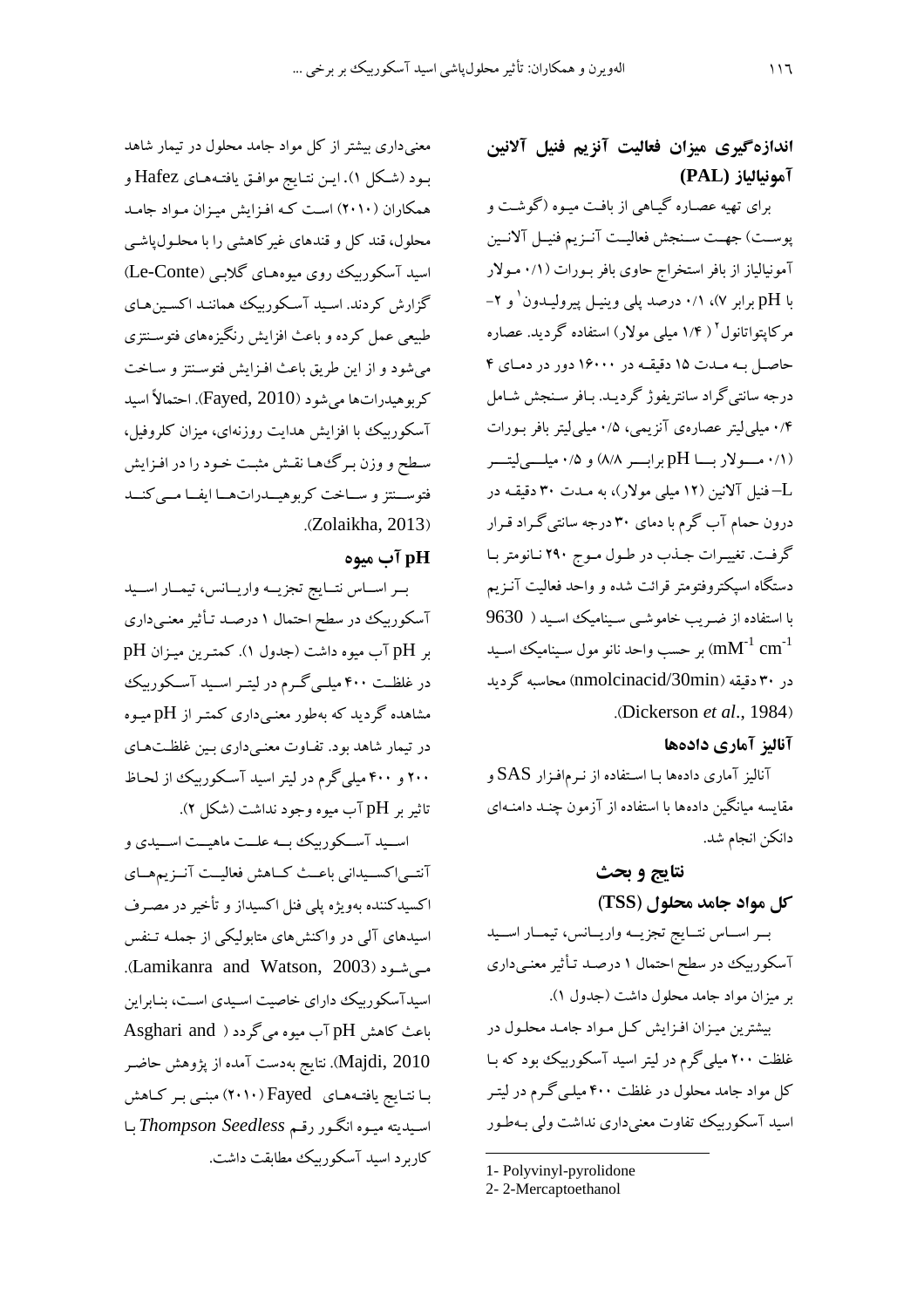## اندازهگیری میزان فعالیت آنزیم فنیل آلانین آمونيالياز (PAL)

برای تهیه عصـاره گیـاهی از بافـت میـوه (گوشـت و پوست) جهـت سـنجش فعاليـت آنـزيم فنيـل آلانـين آمونیالیاز از بافر استخراج حاوی بافر بـورات (۰/۱ مـولار با pH برابر ۷)، ۰/۱ درصد پلی وینیـل پیرولیـدون و ۲– مرکاپتواتانول<sup>۲</sup> ( ۱/۴ میل<sub>ی</sub> مولار) استفاده گردید. عصاره حاصل بـه مـدت ۱۵ دقیقـه در ۱۶۰۰۰ دور در دمـای ۴ درجه سانتیگراد سانتریفوژ گردیـد. بـافر سـنجش شـامل ۰/۴ میلی لیتر عصارهی آنزیمی، ۰/۵ میلی لیتر بافر بـورات (۰/۱ مسولار بسا pH برابسر ۸/۸) و ۰/۵ میلسی لیتسر ـــ فنیل آلانین (۱۲ میلی مولار)، به مــدت ۳۰ دقیقــه در درون حمام آب گرم با دمای ۳۰ درجه سانتی گـراد قـرار گرفت. تغییرات جـذب در طـول مـوج ۲۹۰ نـانومتر بـا دستگاه اسپکتروفتومتر قرائت شده و واحد فعالیت آنـزیم با استفاده از ضریب خاموشبی سینامیک اسـید ( 9630 بر حسب واحد نانو مول سـيناميك اسـيد ( $\rm{mM}^{\text{-1}}$   $\rm{cm}^{\text{-1}}$ در ۳۰ دقیقه (nmolcinacid/30min) محاسبه گردید (Dickerson et al., 1984).

### آناليز آماري دادهها

آنالیز آماری دادهها بـا اسـتفاده از نـرم۱فـزار SAS و مقایسه میانگین دادهها با استفاده از آزمون چنـد دامنـهای دانكن انجام شد.

#### نتايج و بحث

کل مواد جامد محلول (TSS)

بسر اسباس نتبايج تجزيبه واريبانس، تيمبار اسبيد آسکوربیک در سطح احتمال ۱ درصـد تـأثیر معنـیداری بر میزان مواد جامد محلول داشت (جدول ۱).

بیشترین میـزان افـزایش کـل مـواد جامـد محلـول در غلظت ۲۰۰ میلی گرم در لیتر اسید آسکوربیک بود که بـا کل مواد جامد محلول در غلظت ۴۰۰ میلـی گـرم در لیتـر اسید آسکوربیک تفاوت معنیداری نداشت ولی بـهطـور

معنیداری بیشتر از کل مواد جامد محلول در تیمار شاهد بـود (شـكل ۱).ايـن نتـايج موافـق يافتـههـاي Hafez و همکاران (۲۰۱۰) است که افزایش میزان مواد جامد محلول، قند کل و قندهای غیرکاهشی را با محلـول،پاشـی اسید آسکوربیک روی میوههای گلابی (Le-Conte) گزارش کردند. اسید آسکوربیک همانند اکسینهای طبیعی عمل کرده و باعث افزایش رنگیزههای فتوسـنتزی می شود و از این طریق باعث افـزایش فتوسـنتز و سـاخت كربو هيدرات ها مي شود (Fayed, 2010). احتمالاً اسيد آسکوربیک با افزایش هدایت روزنهای، میزان کلروفیل، سطح و وزن بـرگ٥هـا نقـش مثبـت خـود را در افـزايش فتوســنتز و ســاخت كربوهيــدراتهــا ايفــا مــى كنــد .(Zolaikha, 2013)

## pH آب میوه

بسر استاس نتبايج تجزيسه واريبانس، تيمنار استيد آسکوربیک در سطح احتمال ۱ درصـد تـأثیر معنـیداری بر pH آب میوه داشت (جدول ۱). کمتـرین میـزان pH در غلظـت ۴۰۰ میلـی گــرم در لیتــر اســید آســکوربیک مشاهده گردید که بهطور معنبیداری کمتـر از pHمیـوه در تیمار شاهد بود. تفـاوت معنـیداری بـین غلظـتهـای ۲۰۰ و ۴۰۰ میلی گرم در لیتر اسید آسکوربیک از لحاظ تاثير بر pH آب ميوه وجود نداشت (شكل ٢).

اســبد آســکورییک یــه علــت ماهبــت اســبدی و آنتـياكسـيداني باعـث كـاهش فعاليـت آنـزيمهـاي اکسیدکننده بهویژه پلی فنل اکسیداز و تأخیر در مصـرف اسیدهای آلمی در واکنشهای متابولیکی از جملـه تـنفس مسی شود (Lamikanra and Watson, 2003). اسیدآسکوربیک دارای خاصیت اسیدی است، بنابراین باعث كاهش pH آب ميوه مي گردد ( Asghari and Majdi, 2010). نتايج بهدست آمده از پژوهش حاضـر بیا نتبایج یافتیههای Fayed (۲۰۱۰) مبنبی بیر کیاهش اسیدیته میوه انگور رقم Thompson Seedless با کاربرد اسید آسکوربیک مطابقت داشت.

<sup>1-</sup> Polyvinyl-pyrolidone

<sup>2-2-</sup>Mercaptoethanol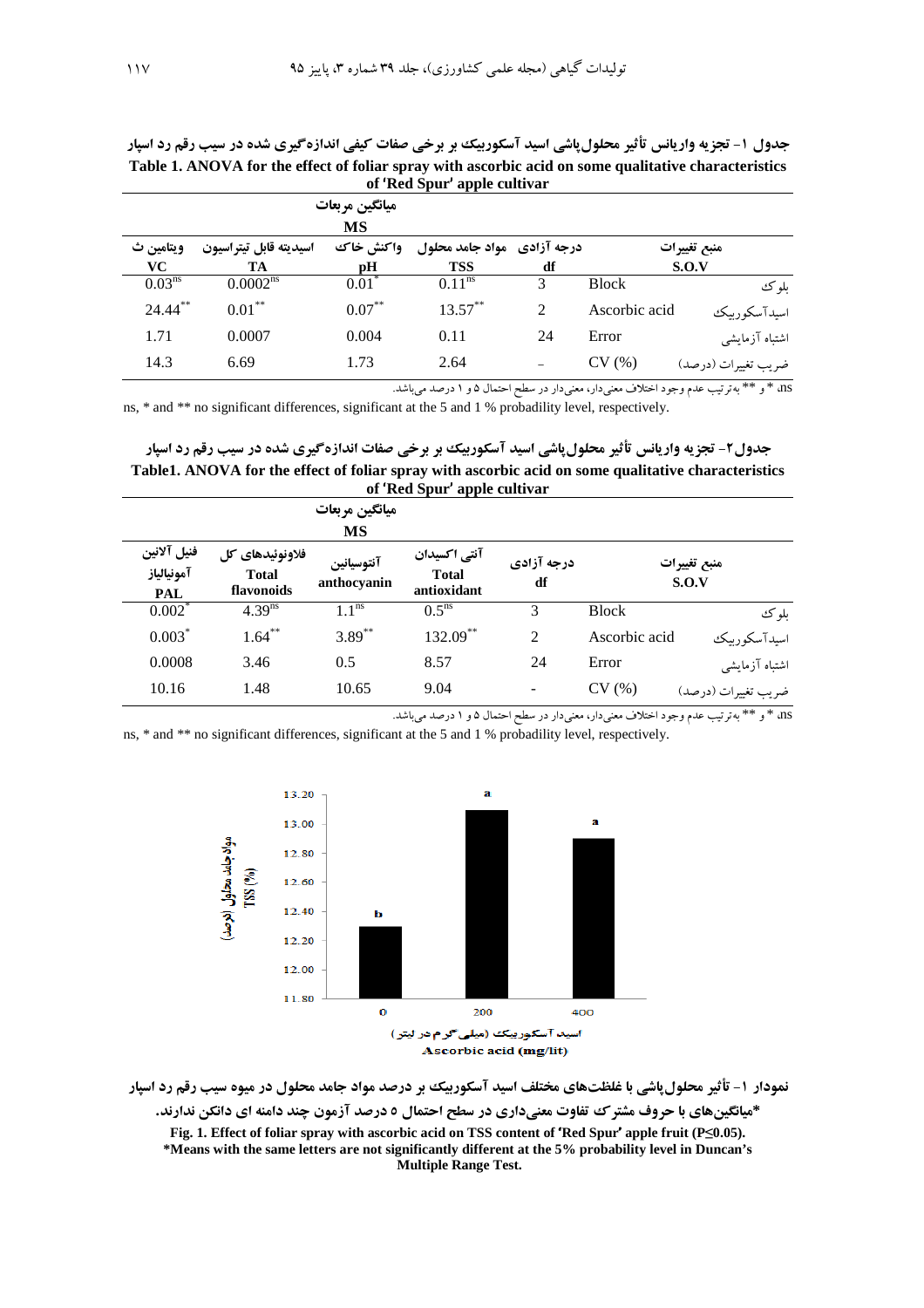جدول ۱- تجزیه واریانس تأثیر محلولپاشی اسید آسکوربیک بر برخی صفات کیفی اندازهگیری شده در سیب رقم رد اسپار Table 1. ANOVA for the effect of foliar spray with ascorbic acid on some qualitative characteristics of 'Red Spur' apple cultivar

|                    | میانگین مربعات         |           |                             |    |               |                     |
|--------------------|------------------------|-----------|-----------------------------|----|---------------|---------------------|
|                    |                        | MS        |                             |    |               |                     |
| ويتامين ث          | اسيديته قابل تيتراسيون | واكنش خاك | درجه آزادی۔ مواد جامد محلول |    | منبع تغييرات  |                     |
| VC.                | TA                     | pH        | <b>TSS</b>                  | df | S.O.V         |                     |
| 0.03 <sup>ns</sup> | 0.0002 <sup>ns</sup>   | $0.01*$   | $0.11^{ns}$                 | 3  | <b>Block</b>  | بلو ک               |
| $24.44$ **         | $0.01***$              | $0.07***$ | $13.57***$                  | 2  | Ascorbic acid | اسيدآسكوربيك        |
| 1.71               | 0.0007                 | 0.004     | 0.11                        | 24 | Error         | اشتباه آزمایشی      |
| 14.3               | 6.69                   | 1.73      | 2.64                        |    | CV(%)         | ضريب تغييرات (درصد) |

ns# \* و \*\* بهترتیب عدم وجود اختلاف معنیدار، معنیدار در سطح احتمال ۵ و ۱ درصد میباشد.

ns, \* and \*\* no significant differences, significant at the 5 and 1 % probadility level, respectively.

جدول۲- تجزیه واریانس تأثیر محلولپاشی اسید آسکوربیک بر برخی صفات اندازهگیری شده در سیب رقم رد اسپار Table1. ANOVA for the effect of foliar spray with ascorbic acid on some qualitative characteristics of 'Red Spur' apple cultivar

|                                         | $\alpha$ and $\beta$ apple can $\alpha$<br>ميانگين مربعات<br><b>MS</b>     |                       |                                             |                  |                       |                     |  |  |  |
|-----------------------------------------|----------------------------------------------------------------------------|-----------------------|---------------------------------------------|------------------|-----------------------|---------------------|--|--|--|
| فنيل آلانين<br>آمونيالياز<br><b>PAL</b> | فلاونوئيدهاى كل<br>آنتوسيانين<br><b>Total</b><br>anthocyanin<br>flavonoids |                       | آنتی اکسیدان<br><b>Total</b><br>antioxidant | درجه آزادی<br>df | منبع تغييرات<br>S.O.V |                     |  |  |  |
| $0.002$ *                               | 4.39 <sup>ns</sup>                                                         | $1.\overline{1^{ns}}$ | $0.5^{\text{ns}}$                           | 3                | <b>Block</b>          | بلوك                |  |  |  |
| $0.003*$                                | $1.64***$                                                                  | $3.89***$             | 132.09**                                    | 2                | Ascorbic acid         | اسبدآسكوربيك        |  |  |  |
| 0.0008                                  | 3.46                                                                       | 0.5                   | 8.57                                        | 24               | Error                 | اشتباه آزمايشي      |  |  |  |
| 10.16                                   | 1.48                                                                       | 10.65                 | 9.04                                        |                  | CV(%)                 | ضريب تغييرات (درصد) |  |  |  |

ns# \* و \*\* بهترتيب عدم وجود اختلاف معنىدار، معنىدار در سطح احتمال ۵ و ۱ درصد مىباشد.

ns, \* and \*\* no significant differences, significant at the 5 and 1 % probadility level, respectively.



نمودار ۱- تأثیر محلول پاشی با غلظتهای مختلف اسید آسکوربیک بر درصد مواد جامد محلول در میوه سیب رقم رد اسپار \*میانگینهای با حروف مشتر ک تفاوت معنیداری در سطح احتمال ٥ درصد آزمون چند دامنه ای دانکن ندارند. Fig. 1. Effect of foliar spray with ascorbic acid on TSS content of 'Red Spur' apple fruit ( $P \le 0.05$ ). \*Means with the same letters are not significantly different at the 5% probability level in Duncan's Multiple Range Test.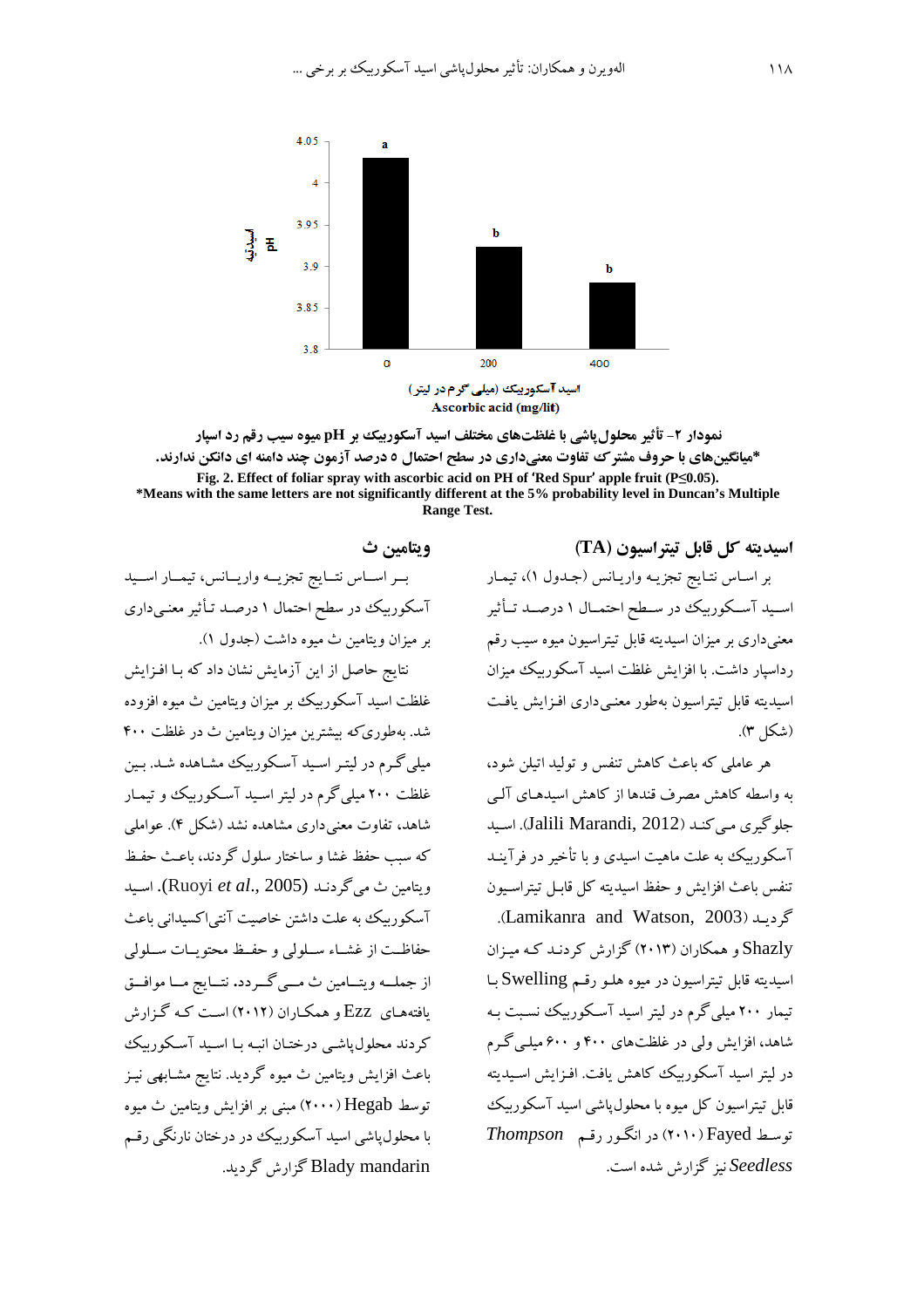

نمودار ۲- تأثیر محلول باشی با غلظتهای مختلف اسید آسکوربیک بر pH میوه سیب رقم رد اسیار \*میانگینهای با حروف مشتر ک تفاوت معنیداری در سطح احتمال ٥ درصد آزمون چند دامنه ای دانکن ندارند. Fig. 2. Effect of foliar spray with ascorbic acid on PH of 'Red Spur' apple fruit (P<0.05). \*Means with the same letters are not significantly different at the 5% probability level in Duncan's Multiple **Range Test.** 

> اسيديته كل قابل تيتراسيون (TA) بر اسـاس نتـايج تجزيـه واريـانس (جـدول ١)، تيمـار اسـيد آسـكوربيك در سـطح احتمـال ١ درصـد تـأثير معنیداری بر میزان اسیدیته قابل تیتراسیون میوه سیب رقم رداسیار داشت. با افزایش غلظت اسید آسکوربیک میزان اسیدیته قابل تیتراسیون بهطور معنبی داری افـزایش یافـت (شكل ٣).

> هر عاملی که باعث کاهش تنفس و تولید اتیلن شود، به واسطه كاهش مصرف قندها از كاهش اسيدهـاي آلـي جلوگیری مے کند (Jalili Marandi, 2012). اسبد آسکورییک به علت ماهیت اسیدی و با تأخیر در فرآینـد تنفس باعث افزايش و حفظ اسيديته كل قابـل تيتراسـيون .(Lamikanra and Watson, 2003).

> Shazly و همکاران (۲۰۱۳) گزارش کردنـد کـه میـزان اسیدیته قابل تیتراسیون در میوه هلـو رقـم Swelling ـا تبمار ۲۰۰ مبلی گرم در لبتر اسبد آسکوریبک نسبت به شاهد، افزایش ولی در غلظتهای ۴۰۰ و ۶۰۰ میلی گرم در ليتر اسيد آسكوربيك كاهش يافت. افـزايش اسـيديته قابل تیتراسیون کل میوه با محلول یاشی اسید آسکوربیک  $Thompson$  توسط Fayed) در انگور رقم Seedless نیز گزارش شده است.

### ويتامين ث

بسر اسساس نتسايج تجزيسه واريسانس، تيمسار اسسيد آسکورییک در سطح احتمال ۱ درصـد تـأثیر معنـی داری بر ميزان ويتامين ث ميوه داشت (جدول ١).

نتایج حاصل از این آزمایش نشان داد که بـا افـزایش غلظت اسيد آسكورييك بر ميزان ويتامين ث ميوه افزوده شد. بهطوری *که* بیشترین میزان ویتامین ث در غلظت ۴۰۰ میلمی گـرم در لیتـر اسـید آسـکوربیک مشـاهده شـد. بـین غلظت ۲۰۰ میلی گرم در لیتر اسـید آسـکوربیک و تیمـار شاهد، تفاوت معنی داری مشاهده نشد (شکل ۴). عواملی كه سبب حفظ غشا و ساختار سلول گردند، باعث حفظ ويتامين ث مي گردنـد (Ruoyi et al., 2005). اسـيد آسکو ریکٹ به علت داشتن خاصیت آنتی اکسیدانی باعث حفاظت از غشـاء سـلولي و حفـظ محتويـات سـلولي از جملــه ويتــامين ث مــي گــردد. نتــايج مــا موافــق بافتههای Ezz و همکـاران (۲۰۱۲) اسـت کـه گـزارش کردند محلول یاشبی درختـان انبـه بـا اسـید آسـکورییک باعث افزایش ویتامین ث میوه گردید. نتایج مشـابهی نیـز توسط Hegab (۲۰۰۰) مننی بر افزایش ویتامین ث میوه با محلول پاشی اسید آسکورییک در درختان نارنگی رقم Blady mandarin گزارش گردید.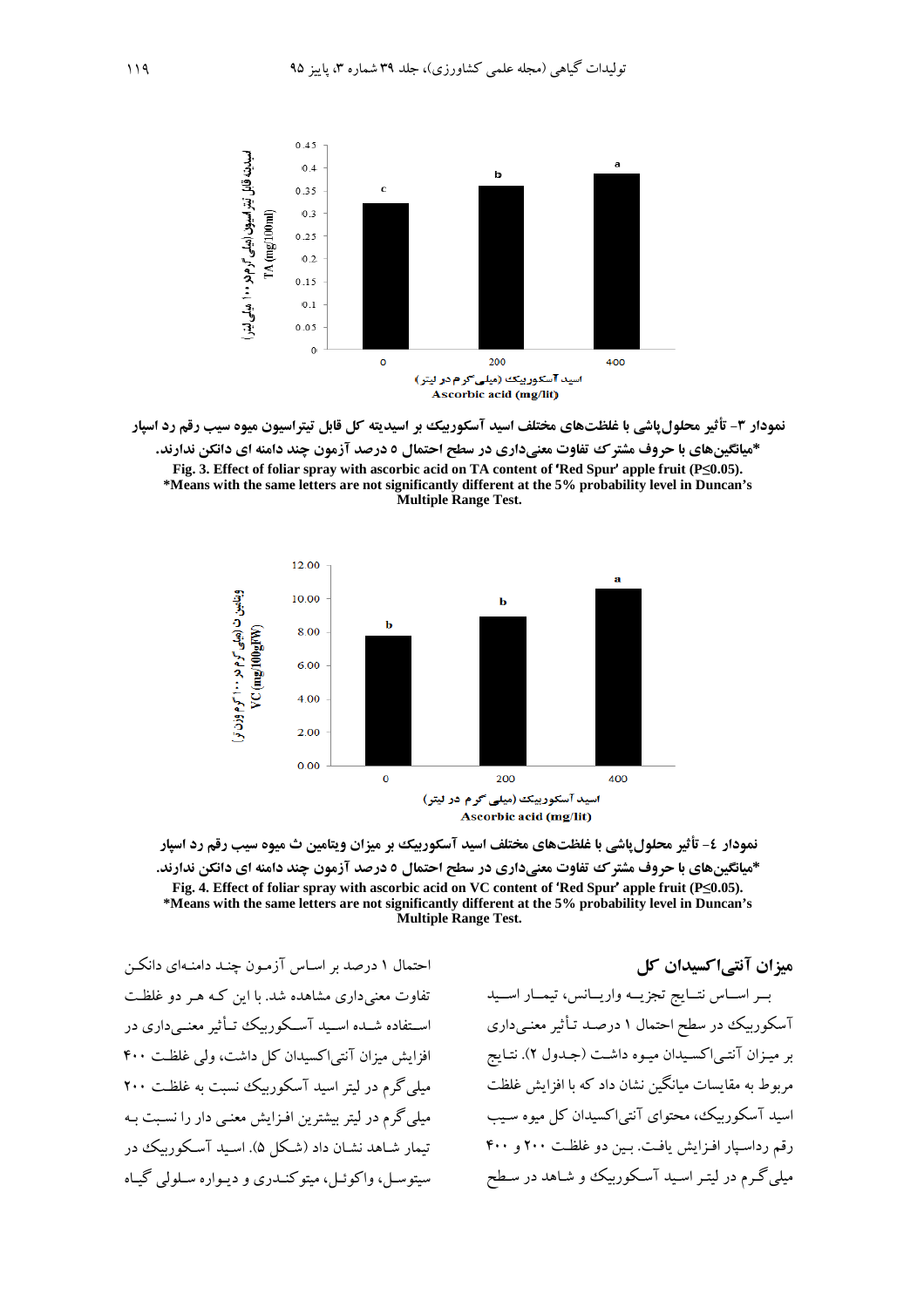

نمودار ۳- تأثیر محلول یاشی با غلظتهای مختلف اسید آسکوربیک بر اسیدیته کل قابل تیتراسیون میوه سیب رقم رد اسیار \*میانگینهای با حروف مشتر ک تفاوت معنیداری در سطح احتمال ٥ درصد آزمون چند دامنه ای دانکن ندارند. Fig. 3. Effect of foliar spray with ascorbic acid on TA content of 'Red Spur' apple fruit ( $P \le 0.05$ ). \*Means with the same letters are not significantly different at the 5% probability level in Duncan's

Multiple Range Test.



نمودار ٤- تأثیر محلولپاشی با غلظتهای مختلف اسید آسکوربیک بر میزان ویتامین ث میوه سیب رقم رد اسپار \*میانگینهای با حروف مشتر ک تفاوت معنیداری در سطح احتمال ٥ درصد آزمون چند دامنه ای دانکن ندارند. Fig. 4. Effect of foliar spray with ascorbic acid on VC content of 'Red Spur' apple fruit ( $P \le 0.05$ ). \*Means with the same letters are not significantly different at the 5% probability level in Duncan's **Multiple Range Test.** 

احتمال ۱ درصد بر اسـاس آزمـون چنـد دامنـهای دانکـن تفاوت معنے داری مشاهده شد. با این کبه هیر دو غلظت اسـتفاده شــده اســید آســکوربیک تــأثیر معنــی داری در افزایش میزان آنتی اکسیدان کل داشت، ولی غلظت ۴۰۰ میلی گرم در لیتر اسید آسکورییک نسبت به غلظت ۲۰۰ میلی گرم در لیتر بیشترین افـزایش معنـی دار را نسـبت بـه تیمار شباهد نشبان داد (شبکل ۵). اسبید آسبکورییک در سیتوسل، واکوئـل، میتوکنــدری و دبـواره سـلولم گــاه

میزان آنتے اکسیدان کل بسر اسساس نتسايج تجزيسه واريسانس، تيمسار اسسيد آسکوربیک در سطح احتمال ۱ درصـد تـأثیر معنـی،داری بر میزان آنتهاکسیدان میوه داشت (جـدول ۲). نتـایج مربوط به مقایسات میانگین نشان داد که با افزایش غلظت اسید آسکوربیک، محتوای آنتی اکسیدان کل میوه سیب رقم رداسيار افزايش يافت. بين دو غلظت ٢٠٠ و ۴٠٠ میلی گـرم در لیتـر اسـید آسـکوربیک و شـاهد در سـطح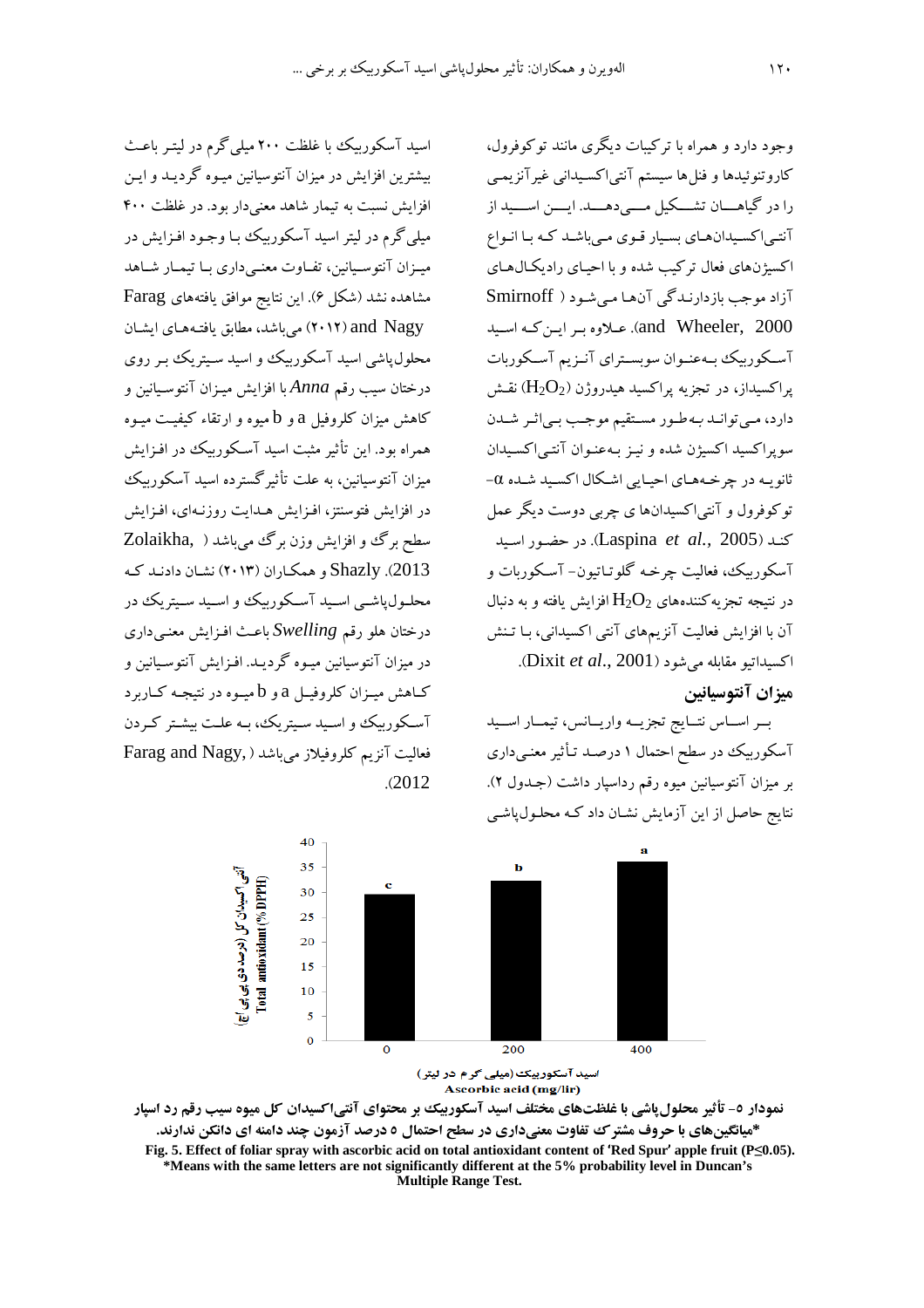اسید آسکوربیک با غلظت ۲۰۰ میلی گرم در لیتـر باعـث بیشترین افزایش در میزان آنتوسیانین میـوه گردیـد و ایـن افزایش نسبت به تیمار شاهد معنی دار بود. در غلظت ۴۰۰ میلمی گرم در لیتر اسید آسکورییک بـا وجـود افـزایش در میےزان آنتوسیانین، تفـاوت معنـی داری بـا تیمـار شـاهد مشاهده نشد (شكل ۶). این نتایج موافق یافتههای Farag and Nagy) میباشد، مطابق یافتههای ایشان محلول یاشی اسید آسکوربیک و اسید سـیتریک بـر روی درختان سيب رقم Anna با افزايش ميـزان آنتوسـيانين و کاهش میزان کلروفیل a و b میوه و ارتقاء کیفیت میوه همراه بود. این تأثیر مثبت اسید آسکورییک در افـزایش میزان آنتوسیانین، به علت تأثیر گسترده اسید آسکوربیک در افزایش فتوسنتز، افـزایش هـدایت روزنـهای، افـزایش سطح برگ و افزايش وزن برگ مي باشد ( ,Zolaikha 2013). Shazly و همكـاران (۲۰۱۳) نشـان دادنـد كـه محلـول،یاشــی اســبد آســکورىبک، و اســبد ســبترېک، در درختان هلو رقم Swelling باعث افـزايش معنـي داري در ميزان آنتوسيانين ميوه گرديـد. افـزايش آنتوسـيانين و کـاهش میــزان کلروفیــل a و b میــوه در نتیجــه کــاربرد آسکوریک و اسبد سبتریک، به علت بشتر کردن Farag and Nagy, افعالیت آنزیم کلروفیلاز می باشد  $.2012$ 

وجود دارد و همراه با ترکیبات دیگری مانند توکوفرول، كاروتنوئيدها و فنلها سيستم آنتي|كسيداني غيرآنزيمي را در گیاهـــان تشـــکیل مــــی دهــــد. ایــــن اســــید از آنتے اکسیدان ہای بسیار قوی مے باشد کـه بـا انـواع اکسبژنهای فعال ترکیب شده و با احیـای رادیکـالهـای آزاد موجب بازدارندگی آنها می شود ( Smirnoff and Wheeler, 2000). عبلاوه بير اين كيه اسبيد آسـكوربيك بـهعنـوان سوبسـتراي آنـزيم آسـكوربات یراکسیداز، در تجزیه پراکسید هیدروژن ( $\rm H_2O_2$ ) نقــش دارد، مبي توانيد بـه طـور مسـتقيم موجـب بـي اثـر شـيدن سويراكسيد اكسيژن شده و نيـز بـهعنـوان آنتـي|كسـيدان ثانویـه در چرخـههـای احیـایی اشـکال اکسـید شـده ۵− توکوفرول و آنتي|کسيدانها ي چربي دوست ديگر عمل كند (Laspina *et al.,* 2005). در حضور اسيد آسکوريېک، فعاليت چرخـه گلوتياتيون- آسـکوريات و در نتبجه تجزیه کنندههای  $\rm H_2O_2$  افزایش یافته و به دنبال آن با افزایش فعالیت آنزیمهای آنتی اکسیدانی، بـا تـنش اكسيداتيو مقابله مي شود (Dixit et al., 2001).

#### ميزان آنتوسيانين

بسر اسساس نتسايج تجزيسه واريسانس، تيمسار اسسيد آسکوربیک در سطح احتمال ۱ درصـد تـأثیر معنـی،داری بر میزان آنتوسیانین میوه رقم رداسپار داشت (جـدول ۲). نتایج حاصل از این آزمایش نشـان داد کـه محلـول،پاشـی





نمودار ٥- تأثیر محلول پاشی با غلظتهای مختلف اسید آسکوربیک بر محتوای آنتیاکسیدان کل میوه سیب رقم رد اسپار \*میانگینهای با حروف مشترک تفاوت معنیداری در سطح احتمال ٥ درصد آزمون چند دامنه ای دانکن ندارند. Fig. 5. Effect of foliar spray with ascorbic acid on total antioxidant content of 'Red Spur' apple fruit ( $P \le 0.05$ ). \*Means with the same letters are not significantly different at the 5% probability level in Duncan's Multiple Range Test.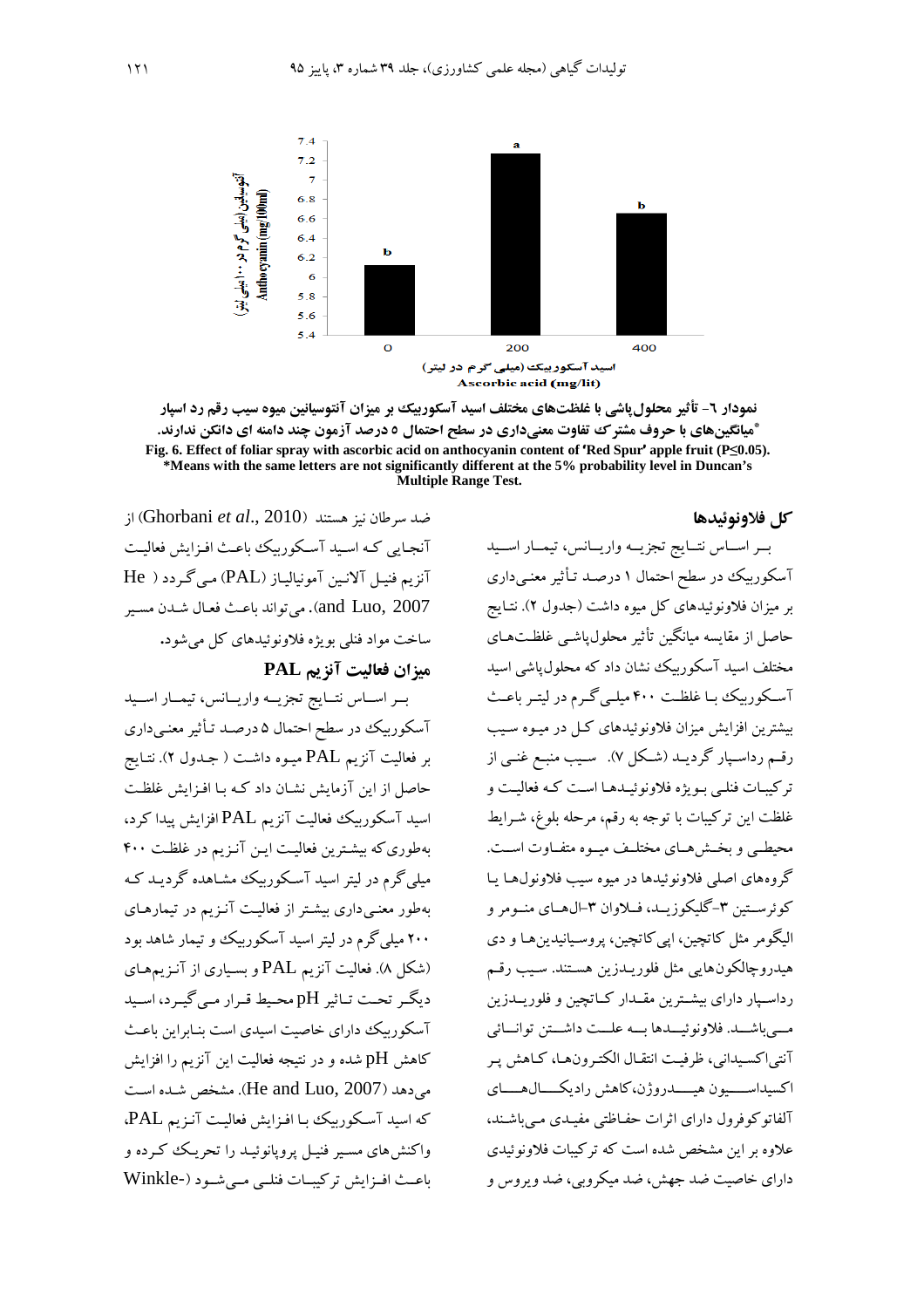

نمودار ٦- تأثیر محلول یاشی با غلظتهای مختلف اسید آسکوربیک بر میزان آنتوسیانین میوه سیب رقم رد اسپار \*میانگینهای با حروف مشتر ک تفاوت معنیداری در سطح احتمال ٥ درصد آزمون چند دامنه ای دانکن ندارند. Fig. 6. Effect of foliar spray with ascorbic acid on anthocyanin content of 'Red Spur' apple fruit (P<0.05). \*Means with the same letters are not significantly different at the 5% probability level in Duncan's Multiple Range Test.

#### كل فلاونوئيدها

; (Ghorbani et al., 2010) از آنجایی کـه اسـید آسـکورییک باعـث افـزایش فعالیـت آنزیم فنیل آلانین آمونیالیاز (PAL) مبی گردد ( He and Luo, 2007). مي تواند باعث فعـال شـدن مسـير ساخت مواد فنلي بويژه فلاونوئيدهاي كل مي شود.

#### ميزان فعاليت آنزيم PAL

بسر اسماس نتسايج تجزيسه واريسانس، تيمسار اسسيد آسکوربیک در سطح احتمال ۵ درصـد تـأثیر معنـیداری بر فعاليت آنزيم PAL ميـوه داشـت ( جـدول ٢). نتـايج حاصل از این آزمایش نشان داد کـه بـا افـزایش غلظـت اسید آسکوربیک فعالیت آنزیم PAL افزایش پیدا کرد، بهطوری که بیشترین فعالیت این آنزیم در غلظت ۴۰۰ مبلی گرم در لبتر اسبد آسکوریک مشاهده گردیـد کـه بهطور معنبی داری بیشتر از فعالیت آنـزیم در تبمارهـای ۲۰۰ میلی گرم در لیتر اسید آسکوربیک و تیمار شاهد بود (شکل ۸). فعالیت آنزیم PAL و بسیاری از آنـزیمهـای دیگے تحت تاثیر pH محیط قرار مے گیرد، اسید آسکوربیک دارای خاصیت اسیدی است بنـابراین باعـث کاهش pH شده و در نتیجه فعالیت این آنزیم را افزایش می دهد (He and Luo, 2007). مشخص شده است که اسید آسکوربیک با افزایش فعالیت آنزیم PAL. واکنش های مسیر فنیـل پرویانوئیـد را تحریـک کـرده و ماعث افسزایش ترکیسات فنلبی مبے شبو د (-Winkle

بسر اسساس نتسايج تجزيسه واريسانس، تيمسار اسسيد آسکوربیک در سطح احتمال ۱ درصـد تـأثیر معنـیداری بر میزان فلاونوئیدهای کل میوه داشت (جدول ۲). نتـایج حاصل از مقايسه ميانگين تأثير محلول،ياشـي غلظـتهـاي مختلف اسبد آسکو ریک نشان داد که محلول یاشی اسبد آسکوربیک بـا غلظـت ۴۰۰ میلـی گـرم در لیتـر باعـث بیشترین افزایش میزان فلاونوئیدهای کل در میـوه سـیب رقم رداسـپار گرديــد (شـكل ۷). سـيب منبـع غنــي از ترکیبات فنلبی بویژه فلاونوئیـدهـا اسـت کـه فعالیـت و غلظت این ترکیبات با توجه به رقم، مرحله بلوغ، شـرایط محیطبی و بخش هسای مختلیف میسوه متفیاوت است. گروههای اصلی فلاونوئیدها در میوه سیب فلاونول هـا یـا کوئرســتين ٣-گليکوزيــد، فــلاوان ٣-ال.هــاي منــومر و البگومر مثل کاتچین، ایی کاتچین، پروسپانیدین هـا و دی هيدروچالكونهايي مثل فلوريـدزين هسـتند. سـيب رقـم رداسـيار داراي بيشــترين مقــدار كــاتچين و فلوريــدزين مبي باشــد. فلاونو ئيــدها بــه علــت داشــتن توانــائي آنتي اکسيداني، ظرفيت انتقـال الکتـرونهـا، کـاهش پـر اكسيداســــيون هيـــــدروژن،كاهش راديكــــال.هــــاي آلفاتوکوفرول دارای اثرات حفاظتی مفیـدی مـی باشـند، علاوه بر این مشخص شده است که ترکیبات فلاونوئیدی دارای خاصیت ضد جهش، ضد میکروپی، ضد و بروس و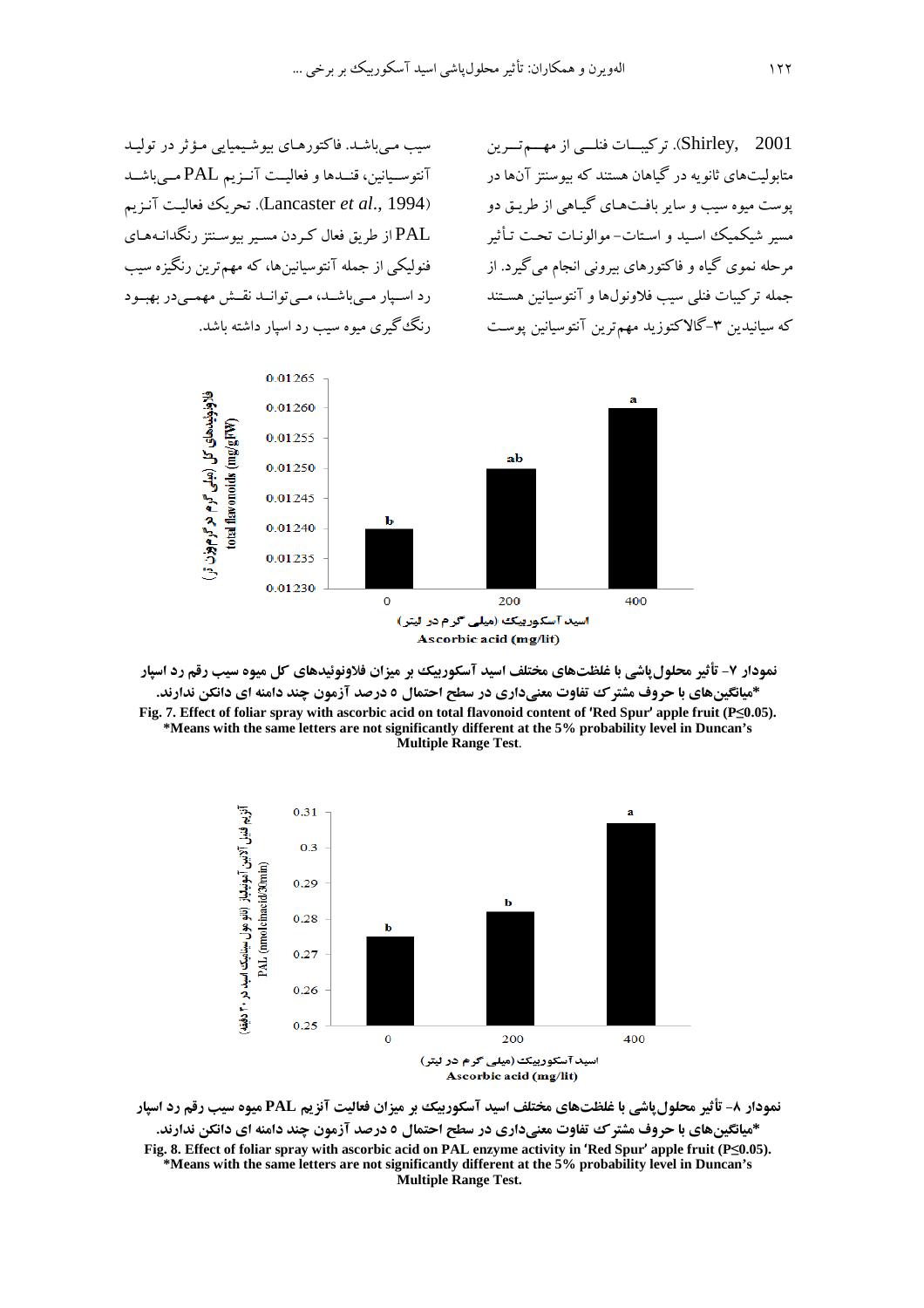سیب مـیباشـد. فاکتورهـای بیوشـیمیایی مـؤثر در تولیـد آنتوسـيانين، قنــدها و فعاليــت آنــزيم PAL مــي باشــد (Lancaster et al., 1994). تحريك فعاليت آنزيم .<br>PAL از طریق فعال کے دن مسبر بیوسنتز رنگدانـههـای فنولیکی از جمله آنتوسیانین ها، که مهم ترین رنگیزه سب رد اسپار میباشد، می توانمد نقش مهممی در بهبود رنگ گیری میوه سیب رد اسپار داشته باشد. Shirley, 2001). تركيبات فنلسى از مهسم تسرين متابولیتهای ثانو به در گیاهان هستند که پیوسنتز آنها در یوست مبوه سبب و سایر بافتههای گیباهی از طریق دو مسیر شیکمیک اسبد و استات- موالونیات تحت تـأثیر مرحله نموي گياه و فاکتورهاي بيرونې انجام مې گيرد. از جمله تركيبات فنلى سيب فلاونولها و آنتوسيانين هسـتند که سیانیدین ۳–گالاکتوزید مهمترین آنتوسیانین پوست



نمودار ۷- تأثیر محلول ٍاشی با غلظتهای مختلف اسید آسکوربیک بر میزان فلاونوئیدهای کل میوه سیب رقم رد اسپار \*میانگینهای با حروف مشترک تفاوت معنیداری در سطح احتمال ٥ درصد آزمون چند دامنه ای دانکن ندارند. Fig. 7. Effect of foliar spray with ascorbic acid on total flavonoid content of 'Red Spur' apple fruit (P<0.05). \*Means with the same letters are not significantly different at the 5% probability level in Duncan's Multiple Range Test.



نمودار ۸- تأثیر محلول پاشی با غلظتهای مختلف اسید آسکوربیک بر میزان فعالیت آنزیم PAL میوه سیب رقم رد اسپار \*میانگینهای با حروف مشترک تفاوت معنیداری در سطح احتمال ٥ درصد آزمون چند دامنه ای دانکن ندارند. Fig. 8. Effect of foliar spray with ascorbic acid on PAL enzyme activity in 'Red Spur' apple fruit  $(P \le 0.05)$ . \*Means with the same letters are not significantly different at the 5% probability level in Duncan's Multiple Range Test.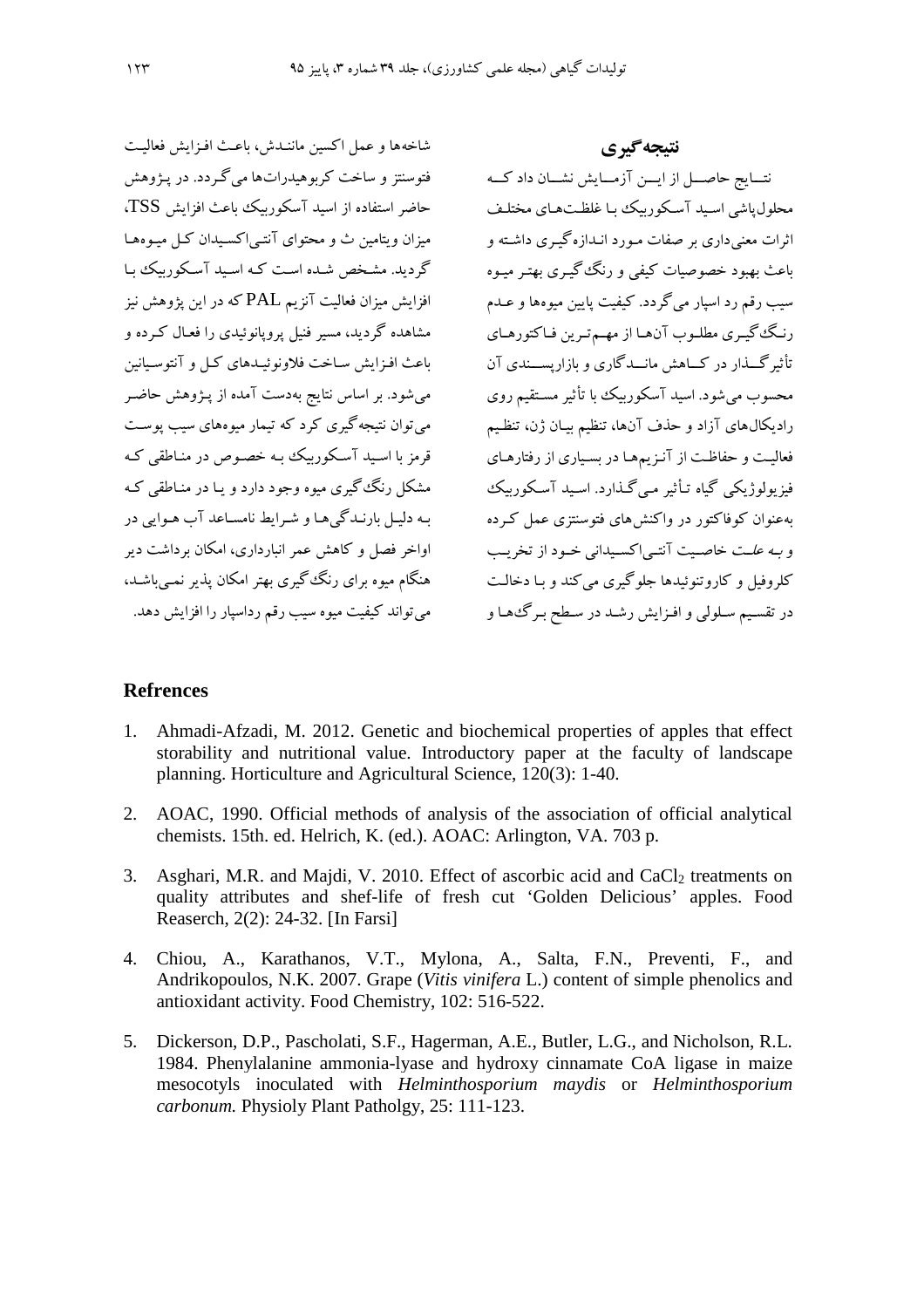شاخهها و عمل اکسین ماننیدش، باعث افیزایش فعالیت فتوسنتز و ساخت کربوهیدراتها میگردد. در پـژوهش حاضر استفاده از اسبد آسکوریبک باعث افزایش TSS. میزان و بتامین ث و محتوای آنتے اکسیدان کیل میوهھیا گردید. مشخص شده است کـه اسـید آسـکورییک با افزایش میزان فعالیت آنزیم PAL که در این یژوهش نیز مشاهده گردید، مسیر فنیل پروپانوئیدی را فعـال کـرده و باعث افـزايش سـاخت فلاونوئيـدهاي كـل و آنتوسـيانين می شود. بر اساس نتایج بهدست آمده از پـژوهش حاضـر می توان نتیجه گیری کرد که تیمار میوههای سیب یوست قرمز با اسبد آسکوریک به خصوص در مناطقی ک مشکل دنگ گېرې موه وجود دارد و پیا در مناطقې که به دلیل بارنیدگی ها و شیرایط نامساعد آب هیوایی در اواخر فصل و کاهش عمر انبارداری، امکان برداشت دیر هنگام میوه برای رنگ گیری بهتر امکان پذیر نمبی باشـد، می تواند کیفیت میوه سیب رقم رداسپار را افزایش دهد.

نتيجه گيري نتسايج حاصل از ايسن آزمسايش نشسان داد كسه محلول یاشی اسید آسکو <sub>ز</sub>یبک یا غلظتهای مختلف اثرات معنے داری پر صفات مورد انبدازہ گے ی داشته و .<br>پاعث بھیود خصوصیات کیفی و رنگ<sup>ی</sup> گیبری بھتبر میبوہ سيب رقم رد اسيار مي گردد. كيفيت پايين ميوهها و عــدم رنيگ گسري مطلبوب آن هيا از مهيدتيرين فياكتور هياي محسوب می شود. اسید آسکوربیک با تأثیر مستقیم روی رادیکال،ای آزاد و حذف آنها، تنظیم بیـان ژن، تنظـیم فعالیت و حفاظت از آنـزیمها در بسباری از رفتارهـای فیز بولوژیکے گیاہ تیأثیر مے گیذارد. اسید آسکوریک په عنوان کوفاکتور در واکنش های فتوسنتزی عمل که ده و به علت خاصیت آنته اکسیدانی خیود از تخریب کلروفیل و کاروتنوئیدها جلوگیری می کند و بـا دخالـت در تقسیم سلولی و افـزایش رشـد در سـطح بـرگ،هـا و

### **Refrences**

- Ahmadi-Afzadi, M. 2012. Genetic and biochemical properties of apples that effect  $1.$ storability and nutritional value. Introductory paper at the faculty of landscape planning. Horticulture and Agricultural Science, 120(3): 1-40.
- 2. AOAC, 1990. Official methods of analysis of the association of official analytical chemists. 15th. ed. Helrich, K. (ed.). AOAC: Arlington, VA. 703 p.
- 3. Asghari, M.R. and Majdi, V. 2010. Effect of ascorbic acid and CaCl<sub>2</sub> treatments on quality attributes and shef-life of fresh cut 'Golden Delicious' apples. Food Reaserch, 2(2): 24-32. [In Farsi]
- 4. Chiou, A., Karathanos, V.T., Mylona, A., Salta, F.N., Preventi, F., and Andrikopoulos, N.K. 2007. Grape (Vitis vinifera L.) content of simple phenolics and antioxidant activity. Food Chemistry, 102: 516-522.
- 5. Dickerson, D.P., Pascholati, S.F., Hagerman, A.E., Butler, L.G., and Nicholson, R.L. 1984. Phenylalanine ammonia-lyase and hydroxy cinnamate CoA ligase in maize mesocotyls inoculated with Helminthosporium maydis or Helminthosporium carbonum. Physioly Plant Patholgy, 25: 111-123.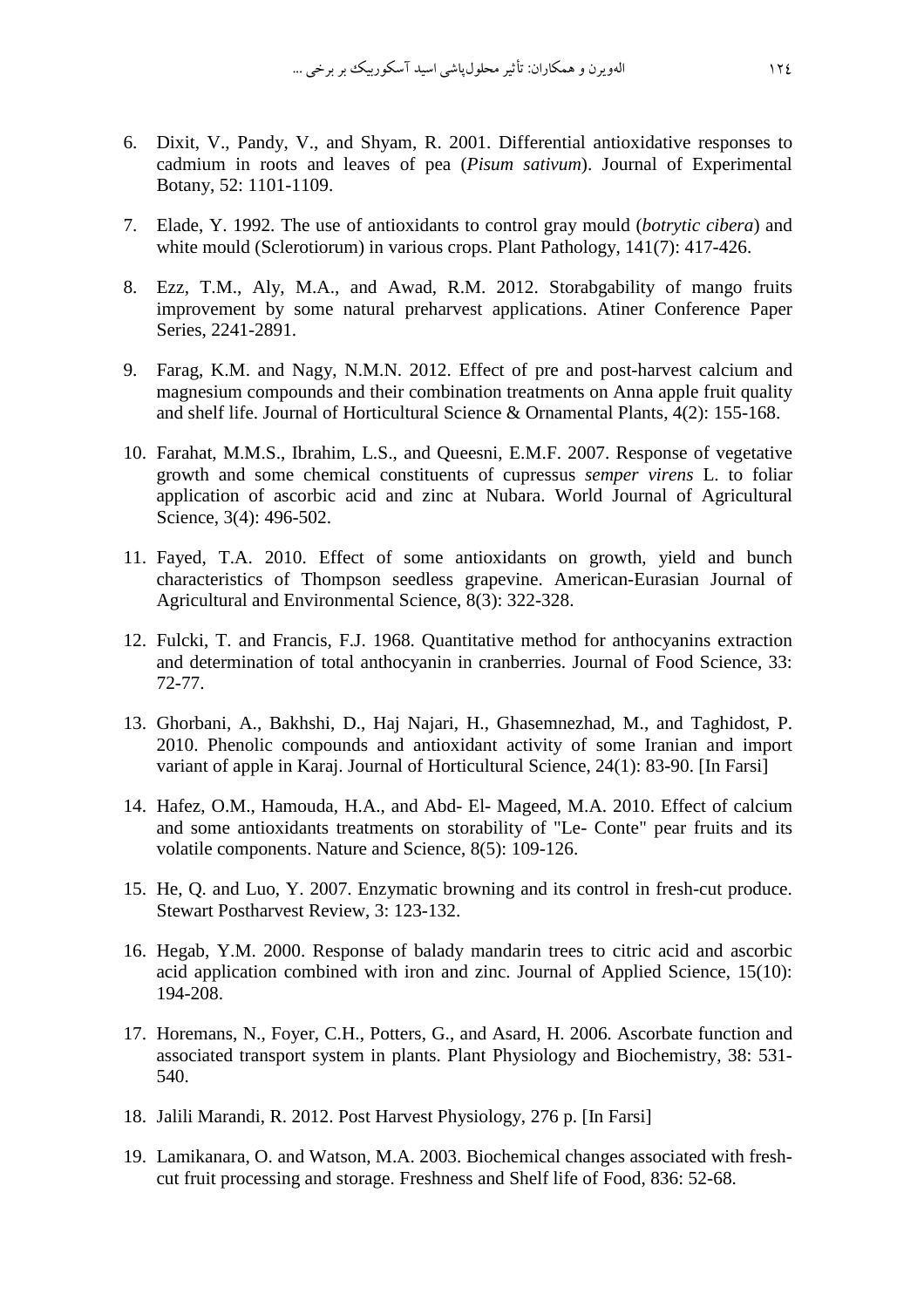- 6. Dixit, V., Pandy, V., and Shyam, R. 2001. Differential antioxidative responses to cadmium in roots and leaves of pea (*Pisum sativum*). Journal of Experimental Botany, 52: 1101-1109.
- 7. Elade, Y. 1992. The use of antioxidants to control gray mould (*botrytic cibera*) and white mould (Sclerotiorum) in various crops. Plant Pathology, 141(7): 417-426.
- 8. Ezz, T.M., Aly, M.A., and Awad, R.M. 2012. Storabgability of mango fruits improvement by some natural preharvest applications. Atiner Conference Paper Series, 2241-2891.
- 9. Farag, K.M. and Nagy, N.M.N. 2012. Effect of pre and post-harvest calcium and magnesium compounds and their combination treatments on Anna apple fruit quality and shelf life. Journal of Horticultural Science & Ornamental Plants, 4(2): 155-168.
- 10. Farahat, M.M.S., Ibrahim, L.S., and Queesni, E.M.F. 2007. Response of vegetative growth and some chemical constituents of cupressus *semper virens* L. to foliar application of ascorbic acid and zinc at Nubara. World Journal of Agricultural Science, 3(4): 496-502.
- 11. Fayed, T.A. 2010. Effect of some antioxidants on growth, yield and bunch characteristics of Thompson seedless grapevine. American-Eurasian Journal of Agricultural and Environmental Science, 8(3): 322-328.
- 12. Fulcki, T. and Francis, F.J. 1968. Quantitative method for anthocyanins extraction and determination of total anthocyanin in cranberries. Journal of Food Science, 33: 72-77.
- 13. Ghorbani, A., Bakhshi, D., Haj Najari, H., Ghasemnezhad, M., and Taghidost, P. 2010. Phenolic compounds and antioxidant activity of some Iranian and import variant of apple in Karaj. Journal of Horticultural Science, 24(1): 83-90. [In Farsi]
- 14. Hafez, O.M., Hamouda, H.A., and Abd- El- Mageed, M.A. 2010. Effect of calcium and some antioxidants treatments on storability of "Le- Conte" pear fruits and its volatile components. Nature and Science, 8(5): 109-126.
- 15. He, Q. and Luo, Y. 2007. Enzymatic browning and its control in fresh-cut produce. Stewart Postharvest Review, 3: 123-132.
- 16. Hegab, Y.M. 2000. Response of balady mandarin trees to citric acid and ascorbic acid application combined with iron and zinc. Journal of Applied Science, 15(10): 194-208.
- 17. Horemans, N., Foyer, C.H., Potters, G., and Asard, H. 2006. Ascorbate function and associated transport system in plants. Plant Physiology and Biochemistry, 38: 531- 540.
- 18. Jalili Marandi, R. 2012. Post Harvest Physiology, 276 p. [In Farsi]
- 19. Lamikanara, O. and Watson, M.A. 2003. Biochemical changes associated with freshcut fruit processing and storage. Freshness and Shelf life of Food, 836: 52-68.